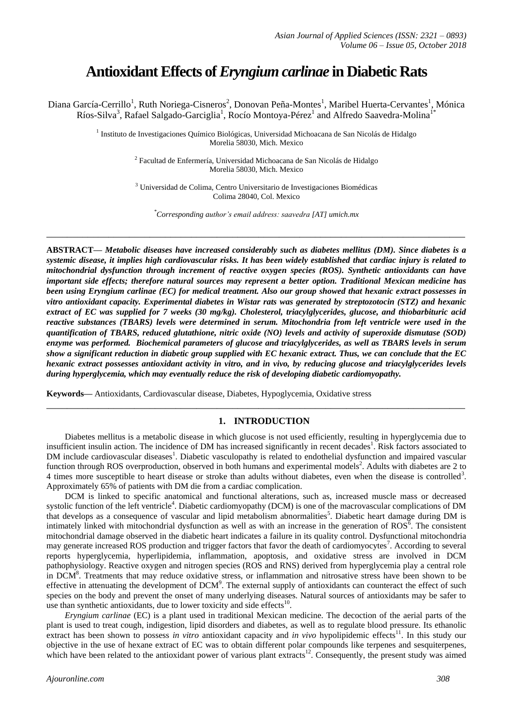# **Antioxidant Effects of***Eryngium carlinae* **in Diabetic Rats**

Diana García-Cerrillo<sup>1</sup>, Ruth Noriega-Cisneros<sup>2</sup>, Donovan Peña-Montes<sup>1</sup>, Maribel Huerta-Cervantes<sup>1</sup>, Mónica Ríos-Silva<sup>3</sup>, Rafael Salgado-Garciglia<sup>1</sup>, Rocío Montoya-Pérez<sup>1</sup> and Alfredo Saavedra-Molina<sup>1\*</sup>

> <sup>1</sup> Instituto de Investigaciones Químico Biológicas, Universidad Michoacana de San Nicolás de Hidalgo Morelia 58030, Mich. Mexico

> > <sup>2</sup> Facultad de Enfermería, Universidad Michoacana de San Nicolás de Hidalgo Morelia 58030, Mich. Mexico

> > <sup>3</sup> Universidad de Colima, Centro Universitario de Investigaciones Biomédicas Colima 28040, Col. Mexico

*\*Corresponding author's email address: saavedra [AT] umich.mx*

**\_\_\_\_\_\_\_\_\_\_\_\_\_\_\_\_\_\_\_\_\_\_\_\_\_\_\_\_\_\_\_\_\_\_\_\_\_\_\_\_\_\_\_\_\_\_\_\_\_\_\_\_\_\_\_\_\_\_\_\_\_\_\_\_\_\_\_\_\_\_\_\_\_\_\_\_\_\_\_\_\_**

**ABSTRACT—** *Metabolic diseases have increased considerably such as diabetes mellitus (DM). Since diabetes is a systemic disease, it implies high cardiovascular risks. It has been widely established that cardiac injury is related to mitochondrial dysfunction through increment of reactive oxygen species (ROS). Synthetic antioxidants can have important side effects; therefore natural sources may represent a better option. Traditional Mexican medicine has been using Eryngium carlinae (EC) for medical treatment. Also our group showed that hexanic extract possesses in vitro antioxidant capacity. Experimental diabetes in Wistar rats was generated by streptozotocin (STZ) and hexanic extract of EC was supplied for 7 weeks (30 mg/kg). Cholesterol, triacylglycerides, glucose, and thiobarbituric acid reactive substances (TBARS) levels were determined in serum. Mitochondria from left ventricle were used in the quantification of TBARS, reduced glutathione, nitric oxide (NO) levels and activity of superoxide dismutase (SOD) enzyme was performed. Biochemical parameters of glucose and triacylglycerides, as well as TBARS levels in serum show a significant reduction in diabetic group supplied with EC hexanic extract. Thus, we can conclude that the EC hexanic extract possesses antioxidant activity in vitro, and in vivo, by reducing glucose and triacylglycerides levels during hyperglycemia, which may eventually reduce the risk of developing diabetic cardiomyopathy.*

**Keywords—** Antioxidants, Cardiovascular disease, Diabetes, Hypoglycemia, Oxidative stress

# **1. INTRODUCTION**

Diabetes mellitus is a metabolic disease in which glucose is not used efficiently, resulting in hyperglycemia due to insufficient insulin action. The incidence of DM has increased significantly in recent decades<sup>1</sup>. Risk factors associated to DM include cardiovascular diseases<sup>1</sup>. Diabetic vasculopathy is related to endothelial dysfunction and impaired vascular function through ROS overproduction, observed in both humans and experimental models<sup>2</sup>. Adults with diabetes are 2 to 4 times more susceptible to heart disease or stroke than adults without diabetes, even when the disease is controlled<sup>3</sup>. Approximately 65% of patients with DM die from a cardiac complication.

**\_\_\_\_\_\_\_\_\_\_\_\_\_\_\_\_\_\_\_\_\_\_\_\_\_\_\_\_\_\_\_\_\_\_\_\_\_\_\_\_\_\_\_\_\_\_\_\_\_\_\_\_\_\_\_\_\_\_\_\_\_\_\_\_\_\_\_\_\_\_\_\_\_\_\_\_\_\_\_\_\_**

DCM is linked to specific anatomical and functional alterations, such as, increased muscle mass or decreased systolic function of the left ventricle<sup>4</sup>. Diabetic cardiomyopathy (DCM) is one of the macrovascular complications of DM that develops as a consequence of vascular and lipid metabolism abnormalities<sup>5</sup>. Diabetic heart damage during DM is intimately linked with mitochondrial dysfunction as well as with an increase in the generation of  $ROS^6$ . The consistent mitochondrial damage observed in the diabetic heart indicates a failure in its quality control. Dysfunctional mitochondria may generate increased ROS production and trigger factors that favor the death of cardiomyocytes<sup>7</sup>. According to several reports hyperglycemia, hyperlipidemia, inflammation, apoptosis, and oxidative stress are involved in DCM pathophysiology. Reactive oxygen and nitrogen species (ROS and RNS) derived from hyperglycemia play a central role in DCM<sup>8</sup>. Treatments that may reduce oxidative stress, or inflammation and nitrosative stress have been shown to be effective in attenuating the development of  $DCM<sup>9</sup>$ . The external supply of antioxidants can counteract the effect of such species on the body and prevent the onset of many underlying diseases. Natural sources of antioxidants may be safer to use than synthetic antioxidants, due to lower toxicity and side effects $^{10}$ .

*Eryngium carlinae* (EC) is a plant used in traditional Mexican medicine. The decoction of the aerial parts of the plant is used to treat cough, indigestion, lipid disorders and diabetes, as well as to regulate blood pressure. Its ethanolic extract has been shown to possess *in vitro* antioxidant capacity and *in vivo* hypolipidemic effects<sup>11</sup>. In this study our objective in the use of hexane extract of EC was to obtain different polar compounds like terpenes and sesquiterpenes, which have been related to the antioxidant power of various plant extracts<sup>12</sup>. Consequently, the present study was aimed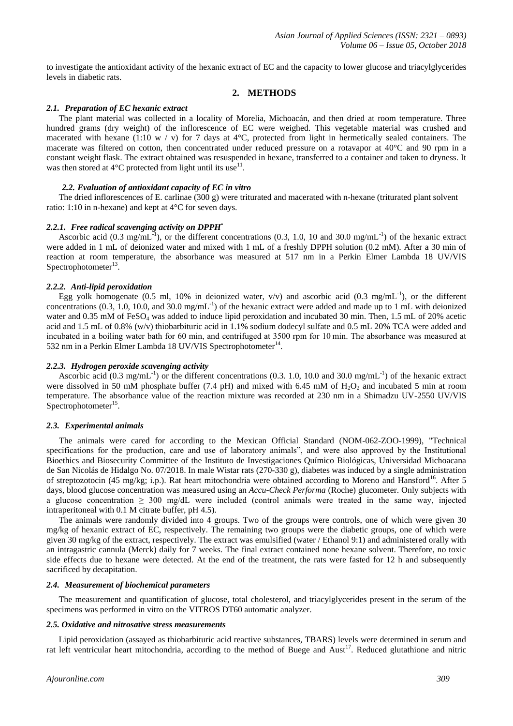to investigate the antioxidant activity of the hexanic extract of EC and the capacity to lower glucose and triacylglycerides levels in diabetic rats.

# **2. METHODS**

# *2.1. Preparation of EC hexanic extract*

The plant material was collected in a locality of Morelia, Michoacán, and then dried at room temperature. Three hundred grams (dry weight) of the inflorescence of EC were weighed. This vegetable material was crushed and macerated with hexane (1:10 w / v) for 7 days at  $4^{\circ}$ C, protected from light in hermetically sealed containers. The macerate was filtered on cotton, then concentrated under reduced pressure on a rotavapor at 40°C and 90 rpm in a constant weight flask. The extract obtained was resuspended in hexane, transferred to a container and taken to dryness. It was then stored at  $4^{\circ}$ C protected from light until its use<sup>11</sup>.

## *2.2. Evaluation of antioxidant capacity of EC in vitro*

The dried inflorescences of E. carlinae (300 g) were triturated and macerated with n-hexane (triturated plant solvent ratio: 1:10 in n-hexane) and kept at 4°C for seven days.

#### *2.2.1. Free radical scavenging activity on DPPH•*

Ascorbic acid (0.3 mg/mL<sup>-1</sup>), or the different concentrations (0.3, 1.0, 10 and 30.0 mg/mL<sup>-1</sup>) of the hexanic extract were added in 1 mL of deionized water and mixed with 1 mL of a freshly DPPH solution (0.2 mM). After a 30 min of reaction at room temperature, the absorbance was measured at 517 nm in a Perkin Elmer Lambda 18 UV/VIS Spectrophotometer $^{13}$ .

# *2.2.2. Anti-lipid peroxidation*

Egg yolk homogenate (0.5 ml, 10% in deionized water,  $v/v$ ) and ascorbic acid (0.3 mg/mL<sup>-1</sup>), or the different concentrations  $(0.3, 1.0, 10.0, \text{ and } 30.0 \text{ mg/mL}^{-1})$  of the hexanic extract were added and made up to 1 mL with deionized water and 0.35 mM of FeSO<sub>4</sub> was added to induce lipid peroxidation and incubated 30 min. Then, 1.5 mL of 20% acetic acid and 1.5 mL of 0.8% (w/v) thiobarbituric acid in 1.1% sodium dodecyl sulfate and 0.5 mL 20% TCA were added and incubated in a boiling water bath for 60 min, and centrifuged at 3500 rpm for 10 min. The absorbance was measured at 532 nm in a Perkin Elmer Lambda 18 UV/VIS Spectrophotometer<sup>14</sup>.

## *2.2.3. Hydrogen peroxide scavenging activity*

Ascorbic acid  $(0.3 \text{ mg/mL}^{-1})$  or the different concentrations  $(0.3. 1.0, 10.0 \text{ and } 30.0 \text{ mg/mL}^{-1})$  of the hexanic extract were dissolved in 50 mM phosphate buffer (7.4 pH) and mixed with 6.45 mM of  $H_2O_2$  and incubated 5 min at room temperature. The absorbance value of the reaction mixture was recorded at 230 nm in a Shimadzu UV-2550 UV/VIS Spectrophotometer<sup>15</sup>.

#### *2.3. Experimental animals*

The animals were cared for according to the Mexican Official Standard (NOM-062-ZOO-1999), "Technical specifications for the production, care and use of laboratory animals", and were also approved by the Institutional Bioethics and Biosecurity Committee of the Instituto de Investigaciones Químico Biológicas, Universidad Michoacana de San Nicolás de Hidalgo No. 07/2018. In male Wistar rats (270-330 g), diabetes was induced by a single administration of streptozotocin (45 mg/kg; i.p.). Rat heart mitochondria were obtained according to Moreno and Hansford<sup>16</sup>. After 5 days, blood glucose concentration was measured using an *Accu-Check Performa* (Roche) glucometer. Only subjects with a glucose concentration  $\geq 300 \text{ mg/d}$  were included (control animals were treated in the same way, injected intraperitoneal with 0.1 M citrate buffer, pH 4.5).

The animals were randomly divided into 4 groups. Two of the groups were controls, one of which were given 30 mg/kg of hexanic extract of EC, respectively. The remaining two groups were the diabetic groups, one of which were given 30 mg/kg of the extract, respectively. The extract was emulsified (water / Ethanol 9:1) and administered orally with an intragastric cannula (Merck) daily for 7 weeks. The final extract contained none hexane solvent. Therefore, no toxic side effects due to hexane were detected. At the end of the treatment, the rats were fasted for 12 h and subsequently sacrificed by decapitation.

#### *2.4. Measurement of biochemical parameters*

The measurement and quantification of glucose, total cholesterol, and triacylglycerides present in the serum of the specimens was performed in vitro on the VITROS DT60 automatic analyzer.

#### *2.5. Oxidative and nitrosative stress measurements*

Lipid peroxidation (assayed as thiobarbituric acid reactive substances, TBARS) levels were determined in serum and rat left ventricular heart mitochondria, according to the method of Buege and Aust<sup>17</sup>. Reduced glutathione and nitric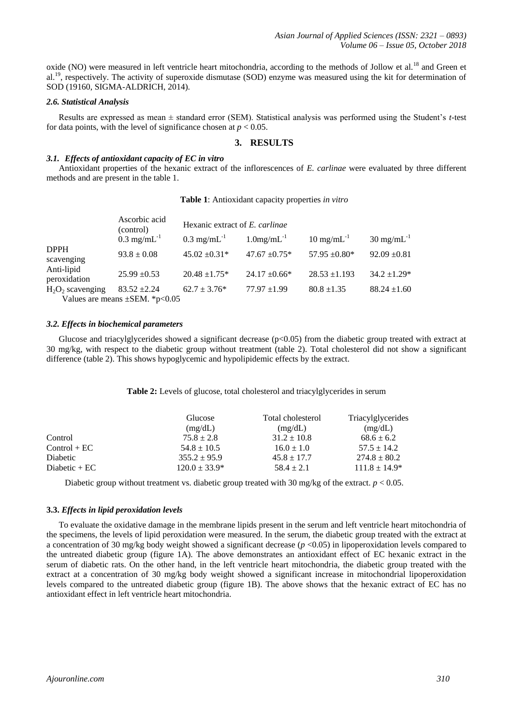oxide (NO) were measured in left ventricle heart mitochondria, according to the methods of Jollow et al.<sup>18</sup> and Green et al.<sup>19</sup>, respectively. The activity of superoxide dismutase (SOD) enzyme was measured using the kit for determination of SOD (19160, SIGMA-ALDRICH, 2014).

# *2.6. Statistical Analysis*

Results are expressed as mean ± standard error (SEM). Statistical analysis was performed using the Student's *t*-test for data points, with the level of significance chosen at  $p < 0.05$ .

# **3. RESULTS**

## *3.1. Effects of antioxidant capacity of EC in vitro*

Antioxidant properties of the hexanic extract of the inflorescences of *E. carlinae* were evaluated by three different methods and are present in the table 1.

#### **Table 1**: Antioxidant capacity properties *in vitro*

|                            | Ascorbic acid<br>(control)                              | Hexanic extract of E. carlinae |                           |                         |                         |
|----------------------------|---------------------------------------------------------|--------------------------------|---------------------------|-------------------------|-------------------------|
|                            | $0.3 \text{ mg/mL}^{-1}$                                | $0.3 \text{ mg/mL}^{-1}$       | $1.0$ mg/mL <sup>-1</sup> | $10 \text{ mg/mL}^{-1}$ | $30 \text{ mg/mL}^{-1}$ |
| <b>DPPH</b><br>scavenging  | $93.8 \pm 0.08$                                         | $45.02 \pm 0.31*$              | $47.67 \pm 0.75*$         | $57.95 \pm 0.80^*$      | $92.09 \pm 0.81$        |
| Anti-lipid<br>peroxidation | $25.99 \pm 0.53$                                        | $20.48 \pm 1.75*$              | $24.17 \pm 0.66*$         | $28.53 \pm 1.193$       | $34.2 \pm 1.29*$        |
| $H_2O_2$ scavenging        | $83.52 \pm 2.24$<br>Values are means $\pm$ SEM. *p<0.05 | $62.7 \pm 3.76^*$              | $77.97 \pm 1.99$          | $80.8 \pm 1.35$         | $88.24 \pm 1.60$        |

#### *3.2. Effects in biochemical parameters*

Glucose and triacylglycerides showed a significant decrease ( $p<0.05$ ) from the diabetic group treated with extract at 30 mg/kg, with respect to the diabetic group without treatment (table 2). Total cholesterol did not show a significant difference (table 2). This shows hypoglycemic and hypolipidemic effects by the extract.

**Table 2:** Levels of glucose, total cholesterol and triacylglycerides in serum

|                | Glucose<br>(mg/dL) | Total cholesterol<br>(mg/dL) | Triacylglycerides<br>(mg/dL) |
|----------------|--------------------|------------------------------|------------------------------|
| Control        | $75.8 \pm 2.8$     | $31.2 \pm 10.8$              | $68.6 \pm 6.2$               |
| $Control + EC$ | $54.8 \pm 10.5$    | $16.0 \pm 1.0$               | $57.5 \pm 14.2$              |
| Diabetic       | $355.2 \pm 95.9$   | $45.8 \pm 17.7$              | $274.8 \pm 80.2$             |
| Diabetic $+EC$ | $120.0 \pm 33.9^*$ | $58.4 \pm 2.1$               | $111.8 \pm 14.9*$            |

Diabetic group without treatment vs. diabetic group treated with 30 mg/kg of the extract. *p* < 0.05.

#### **3.3.** *Effects in lipid peroxidation levels*

To evaluate the oxidative damage in the membrane lipids present in the serum and left ventricle heart mitochondria of the specimens, the levels of lipid peroxidation were measured. In the serum, the diabetic group treated with the extract at a concentration of 30 mg/kg body weight showed a significant decrease  $(p \lt 0.05)$  in lipoperoxidation levels compared to the untreated diabetic group (figure 1A). The above demonstrates an antioxidant effect of EC hexanic extract in the serum of diabetic rats. On the other hand, in the left ventricle heart mitochondria, the diabetic group treated with the extract at a concentration of 30 mg/kg body weight showed a significant increase in mitochondrial lipoperoxidation levels compared to the untreated diabetic group (figure 1B). The above shows that the hexanic extract of EC has no antioxidant effect in left ventricle heart mitochondria.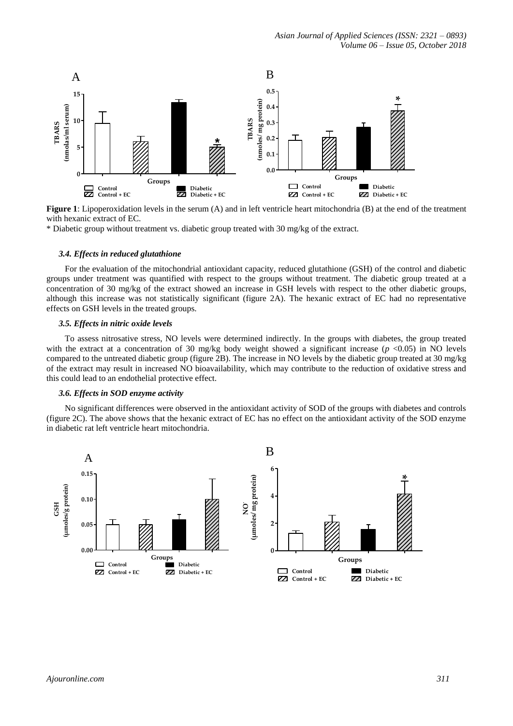

**Figure 1**: Lipoperoxidation levels in the serum (A) and in left ventricle heart mitochondria (B) at the end of the treatment with hexanic extract of EC.

\* Diabetic group without treatment vs. diabetic group treated with 30 mg/kg of the extract.

#### *3.4. Effects in reduced glutathione*

For the evaluation of the mitochondrial antioxidant capacity, reduced glutathione (GSH) of the control and diabetic groups under treatment was quantified with respect to the groups without treatment. The diabetic group treated at a concentration of 30 mg/kg of the extract showed an increase in GSH levels with respect to the other diabetic groups, although this increase was not statistically significant (figure 2A). The hexanic extract of EC had no representative effects on GSH levels in the treated groups.

## *3.5. Effects in nitric oxide levels*

To assess nitrosative stress, NO levels were determined indirectly. In the groups with diabetes, the group treated with the extract at a concentration of 30 mg/kg body weight showed a significant increase  $(p \le 0.05)$  in NO levels compared to the untreated diabetic group (figure 2B). The increase in NO levels by the diabetic group treated at 30 mg/kg of the extract may result in increased NO bioavailability, which may contribute to the reduction of oxidative stress and this could lead to an endothelial protective effect.

#### *3.6. Effects in SOD enzyme activity*

No significant differences were observed in the antioxidant activity of SOD of the groups with diabetes and controls (figure 2C). The above shows that the hexanic extract of EC has no effect on the antioxidant activity of the SOD enzyme in diabetic rat left ventricle heart mitochondria.

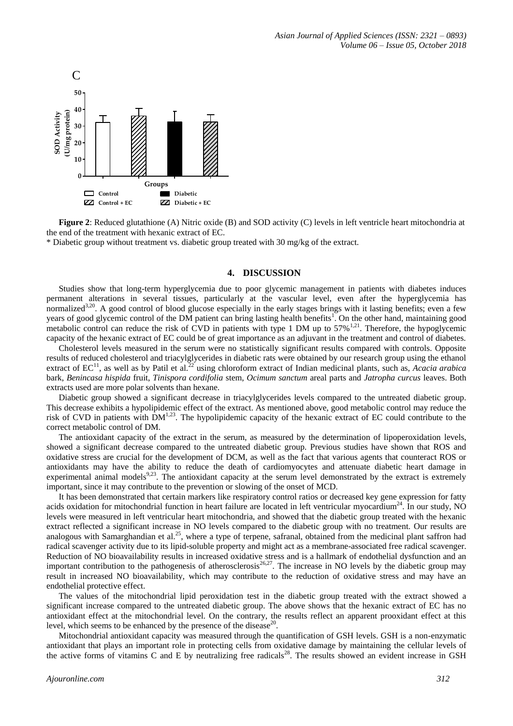

**Figure 2**: Reduced glutathione (A) Nitric oxide (B) and SOD activity (C) levels in left ventricle heart mitochondria at the end of the treatment with hexanic extract of EC.

\* Diabetic group without treatment vs. diabetic group treated with 30 mg/kg of the extract.

# **4. DISCUSSION**

Studies show that long-term hyperglycemia due to poor glycemic management in patients with diabetes induces permanent alterations in several tissues, particularly at the vascular level, even after the hyperglycemia has normalized<sup>3,20</sup>. A good control of blood glucose especially in the early stages brings with it lasting benefits; even a few years of good glycemic control of the DM patient can bring lasting health benefits<sup>1</sup>. On the other hand, maintaining good metabolic control can reduce the risk of CVD in patients with type 1 DM up to  $57\%$ <sup>1,21</sup>. Therefore, the hypoglycemic capacity of the hexanic extract of EC could be of great importance as an adjuvant in the treatment and control of diabetes.

Cholesterol levels measured in the serum were no statistically significant results compared with controls. Opposite results of reduced cholesterol and triacylglycerides in diabetic rats were obtained by our research group using the ethanol extract of EC<sup>11</sup>, as well as by Patil et al.<sup>22</sup> using chloroform extract of Indian medicinal plants, such as, *Acacia arabica* bark, *Benincasa hispida* fruit, *Tinispora cordifolia* stem, *Ocimum sanctum* areal parts and *Jatropha curcus* leaves. Both extracts used are more polar solvents than hexane.

Diabetic group showed a significant decrease in triacylglycerides levels compared to the untreated diabetic group. This decrease exhibits a hypolipidemic effect of the extract. As mentioned above, good metabolic control may reduce the risk of CVD in patients with  $DM<sup>1,23</sup>$ . The hypolipidemic capacity of the hexanic extract of EC could contribute to the correct metabolic control of DM.

The antioxidant capacity of the extract in the serum, as measured by the determination of lipoperoxidation levels, showed a significant decrease compared to the untreated diabetic group. Previous studies have shown that ROS and oxidative stress are crucial for the development of DCM, as well as the fact that various agents that counteract ROS or antioxidants may have the ability to reduce the death of cardiomyocytes and attenuate diabetic heart damage in experimental animal models $9.23$ . The antioxidant capacity at the serum level demonstrated by the extract is extremely important, since it may contribute to the prevention or slowing of the onset of MCD.

It has been demonstrated that certain markers like respiratory control ratios or decreased key gene expression for fatty acids oxidation for mitochondrial function in heart failure are located in left ventricular myocardium<sup>24</sup>. In our study, NO levels were measured in left ventricular heart mitochondria, and showed that the diabetic group treated with the hexanic extract reflected a significant increase in NO levels compared to the diabetic group with no treatment. Our results are analogous with Samarghandian et al.<sup>25</sup>, where a type of terpene, safranal, obtained from the medicinal plant saffron had radical scavenger activity due to its lipid-soluble property and might act as a membrane-associated free radical scavenger. Reduction of NO bioavailability results in increased oxidative stress and is a hallmark of endothelial dysfunction and an important contribution to the pathogenesis of atherosclerosis $26,27$ . The increase in NO levels by the diabetic group may result in increased NO bioavailability, which may contribute to the reduction of oxidative stress and may have an endothelial protective effect.

The values of the mitochondrial lipid peroxidation test in the diabetic group treated with the extract showed a significant increase compared to the untreated diabetic group. The above shows that the hexanic extract of EC has no antioxidant effect at the mitochondrial level. On the contrary, the results reflect an apparent prooxidant effect at this level, which seems to be enhanced by the presence of the disease $^{20}$ .

Mitochondrial antioxidant capacity was measured through the quantification of GSH levels. GSH is a non-enzymatic antioxidant that plays an important role in protecting cells from oxidative damage by maintaining the cellular levels of the active forms of vitamins C and E by neutralizing free radicals<sup>28</sup>. The results showed an evident increase in GSH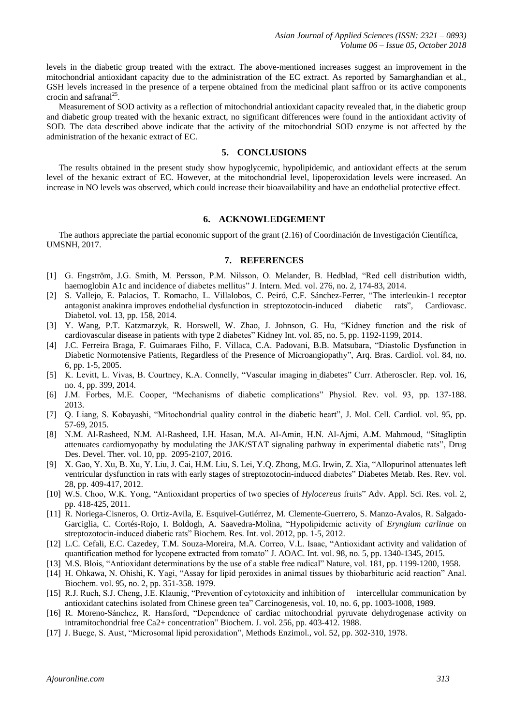levels in the diabetic group treated with the extract. The above-mentioned increases suggest an improvement in the mitochondrial antioxidant capacity due to the administration of the EC extract. As reported by Samarghandian et al., GSH levels increased in the presence of a terpene obtained from the medicinal plant saffron or its active components crocin and safranal $^{25}$ .

Measurement of SOD activity as a reflection of mitochondrial antioxidant capacity revealed that, in the diabetic group and diabetic group treated with the hexanic extract, no significant differences were found in the antioxidant activity of SOD. The data described above indicate that the activity of the mitochondrial SOD enzyme is not affected by the administration of the hexanic extract of EC.

# **5. CONCLUSIONS**

The results obtained in the present study show hypoglycemic, hypolipidemic, and antioxidant effects at the serum level of the hexanic extract of EC. However, at the mitochondrial level, lipoperoxidation levels were increased. An increase in NO levels was observed, which could increase their bioavailability and have an endothelial protective effect.

# **6. ACKNOWLEDGEMENT**

The authors appreciate the partial economic support of the grant (2.16) of Coordinación de Investigación Científica, UMSNH, 2017.

## **7. REFERENCES**

- [1] G. Engström, J.G. Smith, M. Persson, P.M. Nilsson, O. Melander, B. Hedblad, "Red cell distribution width, haemoglobin A1c and incidence of diabetes mellitus" J. Intern. Med. vol. 276, no. 2, 174-83, 2014.
- [2] S. Vallejo, E. Palacios, T. Romacho, L. Villalobos, C. Peiró, C.F. Sánchez-Ferrer, "The interleukin-1 receptor antagonist anakinra improves endothelial dysfunction in streptozotocin-induced diabetic rats", Cardiovasc. Diabetol. vol. 13, pp. 158, 2014.
- [3] Y. Wang, P.T. Katzmarzyk, R. Horswell, W. Zhao, J. Johnson, G. Hu, "Kidney function and the risk of cardiovascular disease in patients with type 2 diabetes" Kidney Int. vol. 85, no. 5, pp. 1192-1199, 2014.
- [4] J.C. Ferreira Braga, F. Guimaraes Filho, F. Villaca, C.A. Padovani, B.B. Matsubara, "Diastolic Dysfunction in Diabetic Normotensive Patients, Regardless of the Presence of Microangiopathy", Arq. Bras. Cardiol. vol. 84, no. 6, pp. 1-5, 2005.
- [5] K. Levitt, L. Vivas, B. Courtney, K.A. Connelly, "Vascular imaging in diabetes" Curr. Atheroscler. Rep. vol. 16, no. 4, pp. 399, 2014.
- [6] J.M. Forbes, M.E. Cooper, "Mechanisms of diabetic complications" Physiol. Rev. vol. 93, pp. 137-188. 2013.
- [7] Q. Liang, S. Kobayashi, "Mitochondrial quality control in the diabetic heart", J. Mol. Cell. Cardiol. vol. 95, pp. 57-69, 2015.
- [8] N.M. Al-Rasheed, N.M. Al-Rasheed, I.H. Hasan, M.A. Al-Amin, H.N. Al-Ajmi, A.M. Mahmoud, "Sitagliptin attenuates cardiomyopathy by modulating the JAK/STAT signaling pathway in experimental diabetic rats", Drug Des. Devel. Ther. vol. 10, pp. 2095-2107, 2016.
- [9] X. Gao, Y. Xu, B. Xu, Y. Liu, J. Cai, H.M. Liu, S. Lei, Y.Q. Zhong, M.G. Irwin, Z. Xia, "Allopurinol attenuates left ventricular dysfunction in rats with early stages of streptozotocin-induced diabetes" Diabetes Metab. Res. Rev. vol. 28, pp. 409-417, 2012.
- [10] W.S. Choo, W.K. Yong, "Antioxidant properties of two species of *Hylocereus* fruits" Adv. Appl. Sci. Res. vol. 2, pp. 418-425, 2011.
- [11] R. Noriega-Cisneros, O. Ortiz-Avila, E. Esquivel-Gutiérrez, M. Clemente-Guerrero, S. Manzo-Avalos, R. Salgado-Garciglia, C. Cortés-Rojo, I. Boldogh, A. Saavedra-Molina, "Hypolipidemic activity of *Eryngium carlinae* on streptozotocin-induced diabetic rats" Biochem. Res. Int. vol. 2012, pp. 1-5, 2012.
- [12] L.C. Cefali, E.C. Cazedey, T.M. Souza-Moreira, M.A. Correo, V.L. Isaac, "Antioxidant activity and validation of quantification method for lycopene extracted from tomato" J. AOAC. Int. vol. 98, no. 5, pp. 1340-1345, 2015.
- [13] M.S. Blois, "Antioxidant determinations by the use of a stable free radical" Nature, vol. 181, pp. 1199-1200, 1958.
- [14] H. Ohkawa, N. Ohishi, K. Yagi, "Assay for lipid peroxides in animal tissues by thiobarbituric acid reaction" Anal. Biochem. vol. 95, no. 2, pp. 351-358. 1979.
- [15] R.J. Ruch, S.J. Cheng, J.E. Klaunig, "Prevention of cytotoxicity and inhibition of intercellular communication by antioxidant catechins isolated from Chinese green tea" Carcinogenesis, vol. 10, no. 6, pp. 1003-1008, 1989.
- [16] R. Moreno-Sánchez, R. Hansford, "Dependence of cardiac mitochondrial pyruvate dehydrogenase activity on intramitochondrial free Ca2+ concentration" Biochem. J. vol. 256, pp. 403-412. 1988.
- [17] J. Buege, S. Aust, "Microsomal lipid peroxidation", Methods Enzimol.*,* vol. 52, pp. 302-310, 1978.